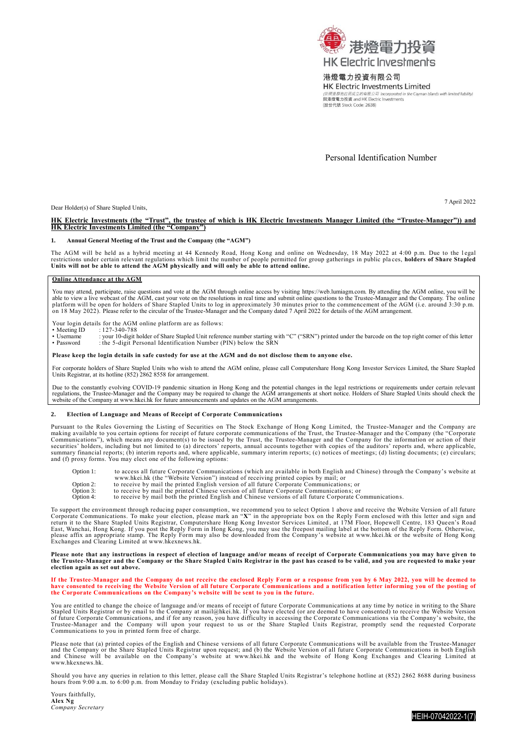

### 港燈電力投資有限公司

HK Electric Investments Limited slands with limited liability) 與港燈電力投資 and HK Electric Investments<br>假治代號 Stock Code: 2638)

Personal Identification Number

Dear Holder(s) of Share Stapled Units,

7 April 2022

# **HK Electric Investments (the "Trust", the trustee of which is HK Electric Investments Manager Limited (the "Trustee-Manager")) and HK Electric Investments Limited (the "Company")**

#### **1. Annual General Meeting of the Trust and the Company (the "AGM")**

The AGM will be held as a hybrid meeting at 44 Kennedy Road, Hong Kong and online on Wednesday, 18 May 2022 at 4:00 p.m. Due to the legal<br>restrictions under certain relevant regulations which limit the number of people per

#### **Online Attendance at the AGM**

You may attend, participate, raise questions and vote at the AGM through online access by visiting https://web.lumiagm.com. By attending the AGM online, you will be able to view a live webcast of the AGM, cast your vote on

- Your login details for the AGM online platform are as follows:<br>• Meeting ID : 127-340-788
- 

• Meeting ID : 127-340-788<br>• Username : your 10-digit l • Username : your 10-digit holder of Share Stapled Unit reference number starting with "C" ("SRN") printed under the barcode on the top right corner of this letter • Password is a substitute of the S-digit Personal Identification Number (PIN) below the SRN

#### **Please keep the login details in safe custody for use at the AGM and do not disclose them to anyone else.**

For corporate holders of Share Stapled Units who wish to attend the AGM online, please call Computershare Hong Kong Investor Services Limited, the Share Stapled Units Registrar, at its hotline (852) 2862 8558 for arrangement.

Due to the constantly evolving COVID-19 pandemic situation in Hong Kong and the potential changes in the legal restrictions or requirements under certain relevant<br>regulations, the Trustee-Manager and the Company may be req

#### **2. Election of Language and Means of Receipt of Corporate Communications**

Pursuant to the Rules Governing the Listing of Securities on The Stock Exchange of Hong Kong Limited, the Trustee-Manager and the Company are making available to you certain options for receipt of future corporate communic and (f) proxy forms. You may elect one of the following options:

Option 1: to access all future Corporate Communications (which are available in both English and Chinese) through the Company's website at www.hkei.hk (the "Website Version") instead of receiving printed copies by mail; or<br>Option 2: to receive by mail the printed English version of all future Corporate Communications; or<br>Option 3: to receive by mail the print

- 
- 

To support the environment through reducing paper consumption, we recommend you to select Option 1 above and receive the Website Version of all future<br>Corporate Communications. To make your election, please mark an "X" in

## Please note that any instructions in respect of election of language and/or means of receipt of Corporate Communications you may have given to<br>the Trustee-Manager and the Company or the Share Stapled Units Registrar in the **election again as set out above.**

# If the Trustee-Manager and the Company do not receive the enclosed Reply Form or a response from you by 6 May 2022, you will be deemed to<br>have consented to receiving the Website Version of all future Corporate Communicatio

You are entitled to change the choice of language and/or means of receipt of future Corporate Communications at any time by notice in writing to the Share<br>Stapled Units Registrar or by email to the Company at mail@hkei.hk. Trustee-Manager and the Company will upon your request to us or the Share Stapled Units Registrar, promptly send the requested Corporate Communications to you in printed form free of charge.

Please note that (a) printed copies of the English and Chinese versions of all future Corporate Communications will be available from the Trustee-Manager and the Company or the Share Stapled Units Registrar upon request; and (b) the Website Version of all future Corporate Communications in both English<br>and Chinese will be available on the Company's website at www.hkei.hk an www.hkexnews.hk.

Should you have any queries in relation to this letter, please call the Share Stapled Units Registrar's telephone hotline at (852) 2862 8688 during business hours from 9:00 a.m. to 6:00 p.m. from Monday to Friday (excluding public holidays).

Yours faithfully, **Alex Ng** *Company Secretary*